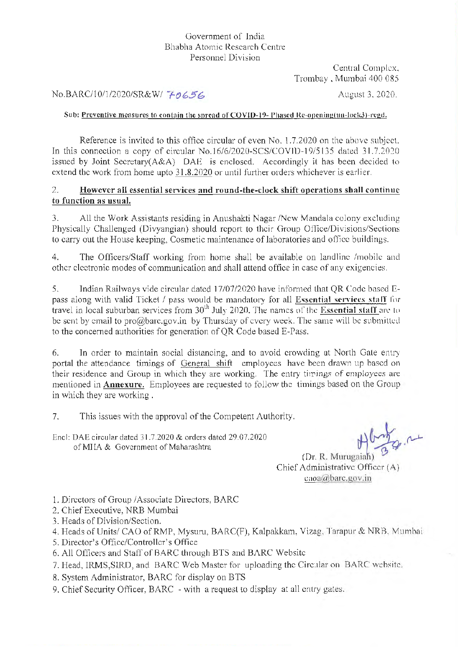## Government of India Bhabha Atomic Research Centre Personnel Division

Central Complex. Trombay. Mumbai 400 085

# No.BARC/10/1/2020/SR&W/ <del>70656</del> August 3, 2020.

## Sub: Preventive measures to contain the spread of COVID-19- Phased Re-opening(un-lock3)-regd.

Reference is invited to this office circular of even  $No. 1.7.2020$  on the above subject. In this connection a copy of circular No.16/6/2020-SCS/COVID-19/5135 dated 31.7.2020 issued by Joint Secretary( $A\&A$ ) DAE is enclosed. Accordingly it has been decided to extend the work from home upto 31.8.2020 or until further orders whichever is earlier.

## 2. **However all essential services and round-the-clock shift operations shall continue to function as usual.**

3. All the Work Assistants residing in Anushakti Nagar /New Mandala colony excluding Physically Challenged (Divyangian) should report to their Group Office/Divisions/Sections to carry out the House keeping, Cosmetic maintenance oflaboratories and office buildings.

4. The Officers/Staff working from home shall be available on landline /mobile and other electronic modes of communication and shall attend office in case of any exigencies.

5. Indian Railways vide circular dated 17/07/2020 have informed that QR Code based Epass along with valid Ticket / pass would be mandatory for all Essential services staff for travel in local suburban services from  $30<sup>th</sup>$  July 2020. The names of the Essential staff are to be sent by email to pro $@$ barc.gov.in by Thursday of every week. The same will be submitted to the concerned authorities for generation of QR Code based E-Pass.

6. In order to maintain social distancing, and to avoid crowding at North Gate entry portal the attendance timings of General shift employees have been drawn up based on their residence and Group in which they are working. The entry timings of employees are mentioned in **Annexure.** Employees are requested to follow the timings based on the Group in which they are working .

7. This issues with the approval of the Competent Authority.

Encl: DAE circular dated 31.7.2020 & orders dated 29.07.2020 of MI IA & Government of Maharashtra

(Dr. R. Murugaiah) Chief' Administrative Officer (A) caoa@barc.gov.in

1. Directors of Group / Associate Directors, BARC

2. Chief Executive, NRB Mumbai

- 3. Heads of Division/Section.
- 4. Heads of Units/ CAO of RMP, Mysuru, BARC(F), Kalpakkam, Vizag. Tarapur & NRB. Mumbai
- 5. Director's Office/Controller's Office
- 6. All Officers and Staff of BARC through BTS and BARC Website
- 7. Head, IRMS, SIRD, and BARC Web Master for uploading the Circular on BARC website.
- 8. System Administrator, BARC for display on BTS
- 9. Chief Security Officer, BARC with a request to display at all entry gates.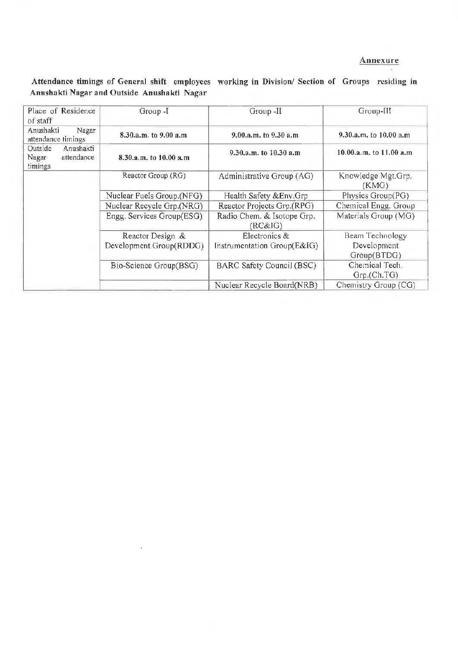## **Annexure**

Attendance timings of General shift employees working in Division/ Section of Groups residing in Annshakti Nagar and Outside Anushakti Nagar

| Place of Residence<br>of staff                         | Group -I                                    | Group -II                                    | Group-III                                     |
|--------------------------------------------------------|---------------------------------------------|----------------------------------------------|-----------------------------------------------|
| Anushakti<br>Nagar<br>attendance timings               | 8.30.a.m. to 9.00 a.m.                      | 9.00.a.m. to 9.30 a.m.                       | 9.30.a.m. to $10.00$ a.m.                     |
| Outside<br>Anushakti<br>attendance<br>Nagar<br>timings | 8.30.a.m. to 10.00 a.m.                     | 9.30.a.m. to $10.30$ a.m.                    | 10.00.a.m. to $11.00$ a.m.                    |
|                                                        | Reactor Group (RG)                          | Administrative Group (AG)                    | Knowledge Mgt.Grp.<br>(KMG)                   |
|                                                        | Nuclear Fuels Group.(NFG)                   | Health Safety & Env. Grp                     | Physics Group(PG)                             |
|                                                        | Nuclear Recycle Grp.(NRG)                   | Reactor Projects Grp.(RPG)                   | Chemical Engg. Group                          |
|                                                        | Engg. Services Group(ESG)                   | Radio Chem. & Isotope Grp.<br>(RC&IG)        | Materials Group (MG)                          |
|                                                        | Reactor Design &<br>Development Group(RDDG) | Electronics &<br>Instrumentation Group(E&IG) | Beam Technology<br>Development<br>Group(BTDG) |
|                                                        | Bio-Science Group(BSG)                      | BARC Safety Council (BSC)                    | Chemical Tech.<br>Grp. (Ch.TG)                |
|                                                        |                                             | Nuclear Recycle Board(NRB)                   | Chemistry Group (CG)                          |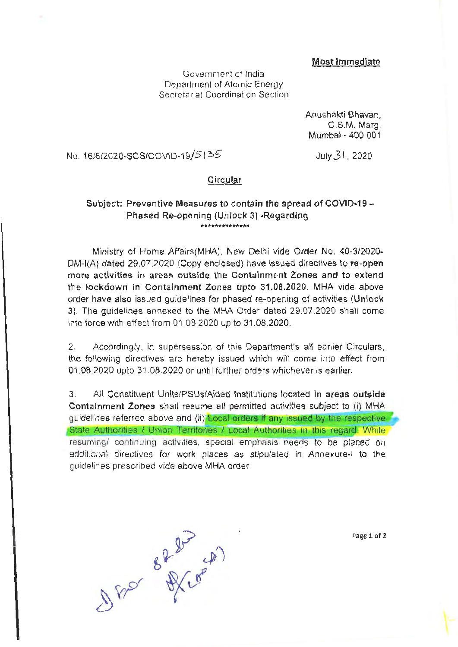### **Most Immediate**

Government of India Department of Atomic Energy Secretariat Coordination Section

> Anushakti Bhavan, C.S.M. Marg, Mumbai - 400 001

# No. 16/6/2020-SCS/COVID-19/5135

July 3 I . 2020

### **Circular**

#### Subject: Preventive Measures to contain the spread of COVID-19 - Phased Re-opening (Unlock 3) -Regarding \*\*\*\*\*\*\*\*\*\*\*\*\*

Ministry of Home Affairs(MHA). New Delhi vide Order No. 40-3/2020- DM-l(A) dated 29.07.2020 (Copy enclosed) have issued directives to **re-open more activities in areas outside the Containment Zones and to extend the lockdown in Containment Zones upto 31.08.2020.** MHA vide above order have also issued guidelines for phased re-opening of activities **(Unlock**  3). The guidelines annexed to the MHA Order dated 29.07.2020 shall come into force with effect from 01.08.2020 up to 31.08.2020.

2. Accordingly, in supersession of this Department's all earlier Circulars, the following directives are hereby issued which will come into effect from 01 .08.2020 upto 31.08.2020 or until further orders whichever is earlier.

3. All Constituent Units/PSUs/Aided Institutions located **in areas outside Containment Zones** shall resume all permitted activities subject to (i) MHA guidelines referred above and (ii) **Local orders ff any issued by the respective**  State Authorities / Union Territories / Local Authorities in this regard. While resuming/ continuing activities, special emphasis needs to be placed on additional directives for work places as stipulated in Annexure-1 to the guidelines prescribed vide above MHA order.

DADr 88 AV COP

**Page 1** of **2**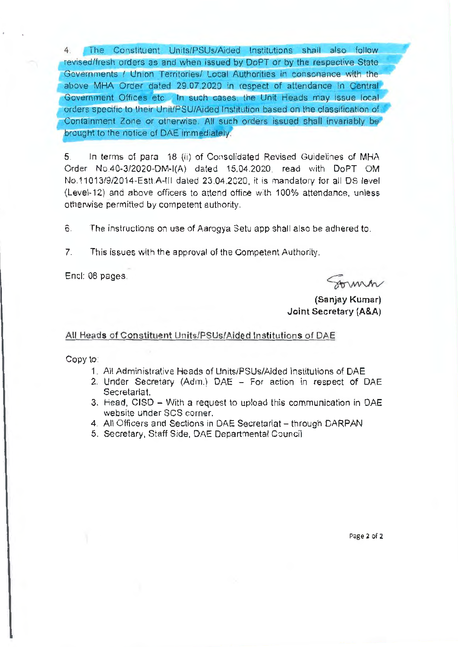The Constituent Units/PSUs/Aided Institutions shall also follow revised/fresh orders as and when issued by DoPT or by the respective State Governments / Union Territories/ Local Authorities in consonance with the above MHA Order dated 29.07.2020 in respect of attendance in Central Government Offices etc. In such cases, the Unit Heads may issue local orders specific to their Unit/PSU/Aided Institution based on the classification of Containment Zone or otherwise. All such orders issued shall invariably be brought to the notice of DAE immediately

5. In terms of para 18 (ii) of Consolidated Revised Guidelines of MHA Order No.40-3/2020-DM-I(A) dated 15.04.2020, read with DoPT OM No.11013/9/2014-Estt.A-III dated 23.04.2020, it is mandatory for all OS level (Level-12) and above officers to attend office with 100% attendance, unless otherwise permitted by competent authority.

6. The instructions on use of Aarogya Setu app shall also be adhered to.

7. This issues with the approval of the Competent Authority.

Encl: 08 pages.

Anna

**(Sanjay Kumar)**  Joint Secretary **(A&A)** 

#### All Heads of Constituent Units/PSUs/Aided Institutions of DAE

Copy to

- 1. All Administrative Heads of Units/PSUs/Aided Institutions of DAE
- 2. Under Secretary (Adm.) DAE For action in respect of DAE Secretariat.
- 3. Head, CISD With a request to upload this communication in DAE website under SCS corner.
- 4. All Officers and Sections in DAE Secretariat through DARPAN
- 5. Secretary, Staff Side, DAE Departmental Council

Page **2** of 2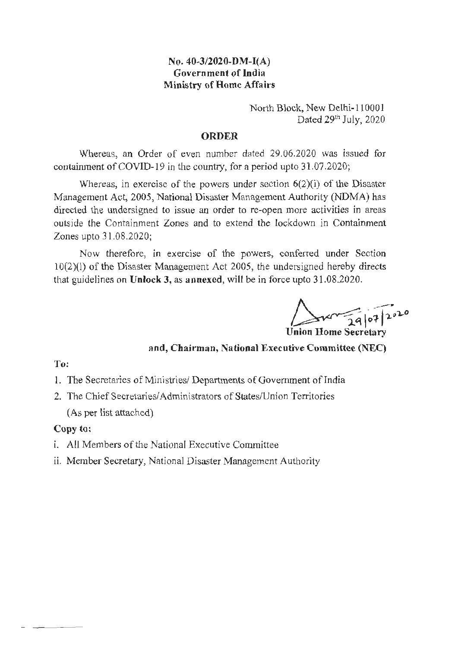# **No. 40-3/2020-DM-I(A) Government of India Ministry of Home Affairs**

North Block, New Delhi-110001 Dated 29th July, 2020

## **ORDER**

Whereas, an Order of even number dated 29.06.2020 was issued for containment of COVID-19 in the country, for a period upto 31.07.2020;

Whereas, in exercise of the powers under section 6(2)(i) of the Disaster Management Act, 2005, National Disaster Management Authority **(NDMA)** has directed the undersigned to issue an order to re-open more activities in areas outside the Containment Zones and to extend the lockdown in Containment Zones upto 31.08.2020;

Now therefore, *in* exercise of the powers, conferred under Section 10(2)(1) of the Disaster Management Act 2005, the undersigned hereby directs that guidelines on **Unlock 3, as annexed,** will be in force upto 31.08.2020.

 $24020$ **Union Home Secretary** 

**and, Chairman, National Executive Committee (NEC)** 

# **To:**

l. The Secretaries of Ministries/ Departments of Government of India

2. The Chief Secretaries/ Administrators of States/Union Territories (As per list attached)

# **Copy to:**

- 1. All Members of the National Executive Committee
- ii. Member Secretary, National Disaster Management Authority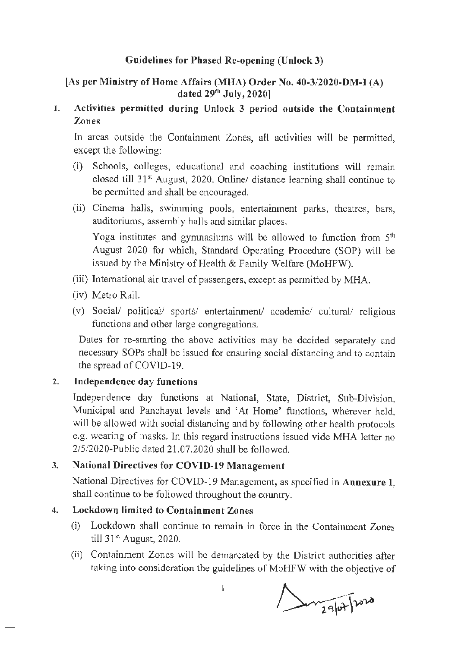# **Guidelines for Phased Re-opening (Unlock 3)**

# **[As per Ministry of Home Affairs (MHA) Order No. 40-3/2020-DM-I {A) dated** 29th **July, 2020]**

# **l. Activities permitted during Unlock 3 period outside the Containment Zones**

In areas outside the Containment Zones, all activities will be permitted, except the following:

- (i) Schools, colleges, educational and coaching institutions will remain closed till 31st August, 2020. Online/ distance learning shall continue to be permitted and shall be encouraged.
- (ii) Cinema halls, swimming pools, entertainment parks, theatres, bars, auditoriums, assembly halls and similar places.

Yoga institutes and gymnasiums will be allowed to function from  $5<sup>th</sup>$ August 2020 for which, Standard Operating Procedure (SOP) will be issued by the Ministry of Health & Family Welfare (MoHFW).

- (iii) International air travel of passengers, except as permitted by MHA.
- (iv) Metro Rail.
- (v) Social/ political/ sports/ entertainment/ academic/ cultural/ religious functions and other large congregations.

Dates for re-starting the above activities may be decided separately and necessary SOPs shall be issued for ensuring social distancing and to contain the spread of COVID-19.

# 2. **Independence day functions**

Independence day functions at National, State, District, Sub-Division, Municipal and Panchayat levels and 'At Home' functions, wherever held, will be allowed with social distancing and by following other health protocols e.g. wearing of masks. In this regard instructions issued vide MHA letter no 2/5/2020-Public dated 21.07.2020 shaJI be followed.

# 3. **National Directives for COVID-19 Management**

National Directives for COVID-19 Management, as specified in **Annexure** I, shall continue to be followed throughout the country.

# **4. Lockdown limited to Containment Zones**

- (i) Lockdown shall continue to remain in force in the Containment Zones till 31st August, 2020.
- (ii) Containment Zones will be demarcated by the District authorities after taking into consideration the guidelines of MoHFW with the objective of

 $\Delta v_{29}$ 

 $\mathbf{I}$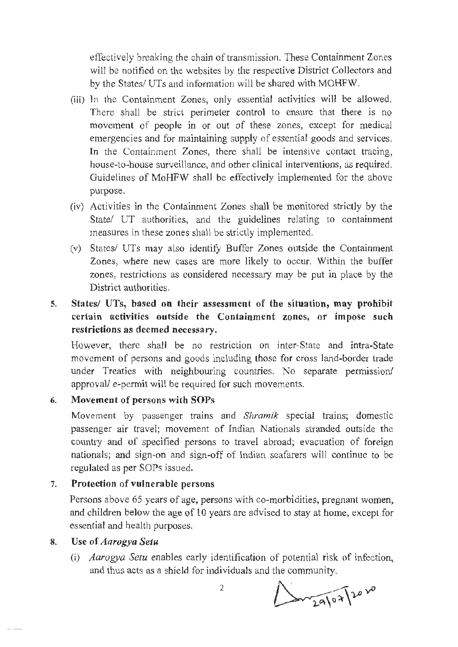effectively breaking the chain of transmission.. These Containment Zones will be notified on the websites by the respective District Collectors and by the States/ UTs and information will be shared with MOHFW.

- (iii) In the Containment Zones, only essential activities will be allowed. There shall be strict perimeter control to ensure that there is no movement of people in or out of these zones, except for medical emergencies and for maintaining supply of essential goods and services. In the Containment Zones, there shall be intensive contact tracing, house-to-house surveillance, and other clinical interventions, as required. Guidelines of MoHFW shall be effectively implemented for the above purpose.
- (iv) Activities in the Containment Zones shall be monitored strictly by the State/ UT authorities, and the guidelines relating to containment measures in these zones shall be strictly implemented.
- (v) States/ UTs may also identify Buffer Zones outside the Containment Zones, where new cases are more likely to occur. Within the buffer zones, restrictions as considered necessary may be put in place by the District authorities.
- **5. States/ UTs, based on their assessment of the situation, may prohibit certain activities outside the Containment zones, or impose such restrictions as deemed necessary.**

However, there shall be no restriction on inter-State and intra-State movement of persons and goods including those for cross land-border trade under Treaties with neighbouring countries. No separate permission/ approval/ e-permit will be required for such movements.

# **6. Movement of persons with SOPs**

Movement by passenger trains and *Shramik* special trains; domestic passenger air travel; movement of Indian Nationals stranded outside the country and of specified persons to travel abroad; evacuation of foreign nationals; and sign-on and sign-off of Indian seafarers will continue to be regulated as per SOPs issued.

#### 7. **Protection of vulnerable persons**

Persons above 65 years of age, persons with co-morbidities, pregnant women, and children below the age of 10 years are advised to stay at home, except for essential and health purposes.

#### **8. Use of** *Aarogya Setu*

(i) *Aarogya Setu* enables early identification of potential risk of infection, and thus acts as a shield for individuals and the community.

**1202** 

 $\overline{2}$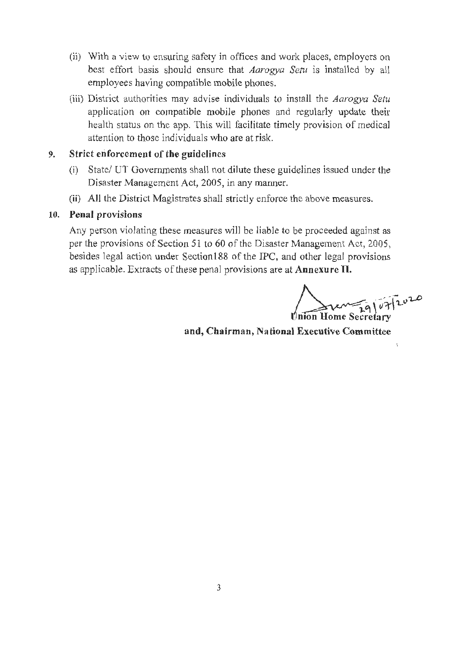- (ii) With a view to ensuring safety in offices and work places, employers on best effort basis should ensure that *Aarogya Setu* is installed by all employees having compatible mobile phones.
- (iii) District authorities may advise individuals to install the *Aarogya Setu*  application on compatible mobile phones and regularly update their health status on the app. This will facilitate timely provision of medical attention to those individuals who are at risk.

# 9. **Strict enforcement of the guidelines**

- (i) State/ UT Governments shall not dilute these guidelines issued under the Disaster Management Act, 2005, in any manner.
- **(ii)** All the District Magistrates shall strictly enforce the above measures.

# **10. Penal provisions**

Any person violating these measures will be liable to be proceeded against as per the provisions of Section 51 to 60 of the Disaster Management Act, 2005, besides legal action under Section **188** of the IPC, and other legal provisions as applicable. Extracts of these penal provisions are at **Annexure II.** 

**www.fg/07/2020 Union Home Secretary** 

 $\mathbf{t}$ 

**and, Chairman, National Executive Committee**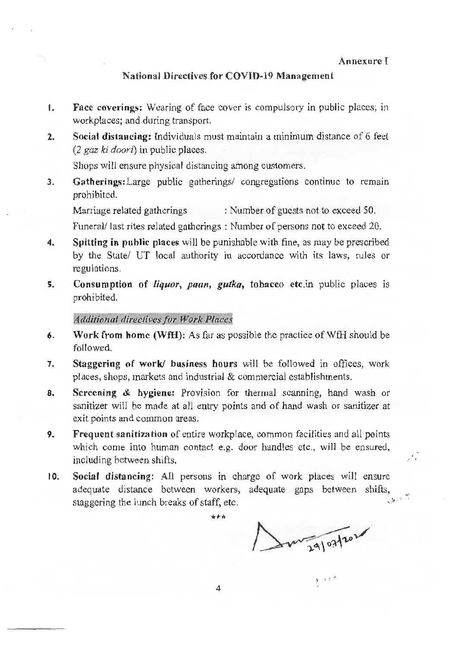#### **Annexure** I

## **National Directives for COVID-19 Management**

- I. **Face coverings:** Wearing of face cover is compulsory in public places; in workplaces; and during transport.
- **2. Social distancing:** Individuals must maintain a minimum distance of 6 feet *(2 gaz ki doori)* in public places.

Shops will ensure physical distancing among customers.

**3. Gatherings:Large** public gatherings/ congregations continue to remam prohibited.

Marriage related gatherings : Number of guests not to exceed 50.

Funeral/ last rites related gatherings : Number of persons not to exceed 20.

- **4. Spitting in public places** will be punishable with fine, as may be prescribed by the State/ UT local authority in accordance with its laws, rules or regulations.
- **5. Consumption of** *liquor, paan, gutka,* **tobacco etc.in** public places is prohibited.

*Adtlitio11al directives for Work Places* 

- **6. Work from home (WfH):** As far as possible the practice of WfH should be followed.
- **7. Staggering of work/ business hours** will be followed in offices, work places, shops, markets and industrial & commercial establishments.
- **8. Screening** & **hygiene:** Provision for thermal scanning, hand wash or sanitizer will be made at all entry points and of hand wash or sanitizer at exit points and common areas.
- **9. Frequent sanitization** of entire workplace, common facilities and all points which come into human contact e.g. door handles etc., will be ensured. including between shifts.
- **10. Social distancing:** All persons in charge of work places will ensure adequate distance between workers, adequate gaps between shifts, staggering the lunch breaks of staff, etc.  $\int$ ,  $\frac{1}{2}$

\*\*\*

my 29/07/2020

 $\epsilon$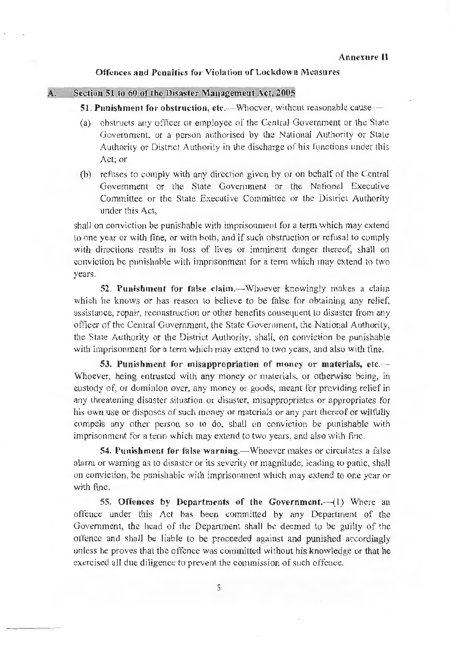#### **Offences and Penalties for Violation of Lockdown Measures**

### **A. Section 51 to 60 of the Disaster Management Act, 2005**

### **51. Punishment for obstruction, etc.—Whocver, without reasonable cause —**

- (a) obstructs any officer or employee of the Central Government or the State Government, or a person authorised by the National Authority or State Authority or District Authority in the discharge of his functions under this Act: or
- (h) refuses to comply with any direction given by or on behalf of the Central Government or the State Government or the National Executive Committee or the State Executive Committee or the District Authority under this Act,

shall on conviction be punishable with imprisonment for a term which may extend to one year or with fine, or with both, and if such obstruction or refusal to comply with directions results in loss of lives or imminent danger thereof, shall on conviction be punishable with imprisonment for a term which may extend to two years.

**52. Punishment for false claim.—Whoever knowingly makes a claim** which he knows or has reason to believe to be false for obtaining any relief. assistance, repair, reconstruction or other benefits consequent to disaster from any officer of the Central Government, the State Government, the National Authority, the State Authority or the District Authority, shall, on conviction be punishable with imprisonment for a term which may extend to two years, and also with fine.

**53. Punishment for misapproprintion of money or materials, etc.-·-** Whoever, being entrusted with any money or materials, or otherwise being, in custody of, or dominion over, any money or goods, meant for providing relief in any threatening disaster situation or disaster, misappropriates or appropriates for his own use or disposes of such money or materials or any part thereof or wilfully compels any other person so to do, shall on conviction be punishable with imprisonment for a term which may extend to two years, and also with fine.

**54. Punishment for false warning.—Whoever makes or circulates a false** alarm or warning as to disaster or its severity or magnitude, leading to panic, shall on conviction, be punishable with imprisonment which may extend *to* one year or with fine.

**55. Offences by Departments of the Government.** (1) Where an offence under this /\ct has been committed by any Department of the Government, the head of the Department shall be deemed to be guilty of the offence and shall be liable to be proceeded against and punished accordingly unless he proves that the offence was committed without his knowledge or that he exercised all due diligence to prevent the commission of such offence.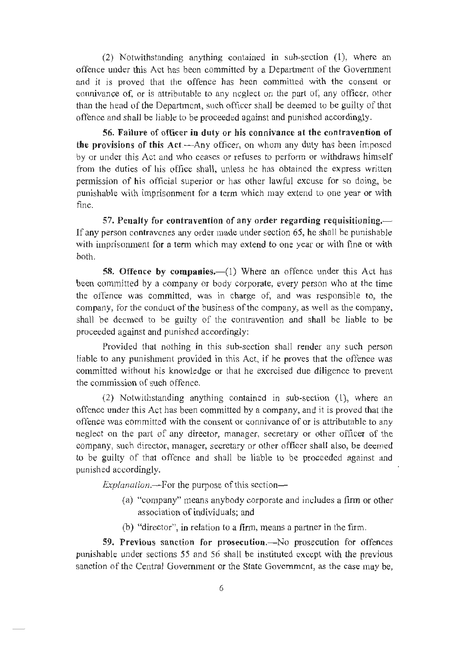(2) Notwithstanding anything contained in sub-section (1), where an offence under this Act has been committed by a Department of the Government and it is proved that the offence has been committed with the consent or connivance of, or is attributable to any ncglecl on the part of, any officer, other than the head of the Department, such officer shall be deemed to be guilty of that offence and shall be liable to be proceeded against and punished accordingly.

**56. Failure of officer in duty or his connivance at the contravention of the provisions of this Act.—Any officer**, on whom any duty has been imposed by or under this Act and who ceases or refuses to perform or withdraws himself from the duties of his office sha11, unless he has obtained the express written permission of his official superior or has other lawful excuse for so doing, be punishable with imprisonment for a term which may extend to one year or with fine.

**57. Penalty for contravention of any order regarding requisitioning.-** If any person contravenes any order made under section 65, he shall be punishable with imprisonment for a term which may extend to one year or with fine or with both.

**58. Offence by companies.** (1) Where an offence under this Act has been committed by a company or body corporate, every person who at the time the offence was committed, was in charge of, and was responsible to, the company, for the conduct of the business of the company, as well as the company, shall be deemed to be guilty of the contravention and shall be liable to be proceeded against and punished accordingly:

Provided that nothing in this sub-section shall render any such person liable to any punishment provided in this Act, if he proves that the offence was committed without his knowledge or that he exercised due diligence to prevent the commission of such offence.

(2) Notwithstanding anything contained in sub-section (1), where an offence under this Act has been committed by a company, and it is proved that the offence was committed with the consent or connivance of or is attributable to any neglect on the part of any director, manager, secretary or other officer of the company, such director, manager, secretary or other officer shall also, be deemed to be guilty of that offence and shall be liable to be proceeded against and punished accordingly.

*Explanation.*—-For the purpose of this section—

- ( a) ''company" means anybody corporate and includes a firm or other association of individuals; and
- (b) "director", in relation to a firm, means a partner in the firm.

**59. Previous sanction for prosecution.-No** prosecution for offences punishable under sections 55 and 56 shall be instituted except with the previous sanction of the Central Government or the State Government, as the case may be,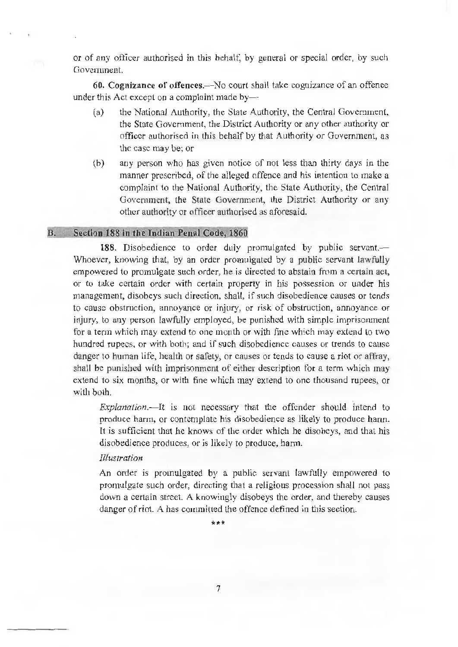or of any officer authorised in this behalf: by general or special order, by such Government.

**60. Cognizance of offences.-No** court shall take cognizance of an offence under this Act except on a complaint made by-

- (a) the National Authority, the State Authority, the Central Government, the State Government, the District Authority or any other authority or officer authorised in this behalf by that Authority or Government, as the case may be; or
- (b) any person who has given notice of not less than thirty days in the manner prescribed, of the alleged offence and his intention to make a complaint to the National Authority, the State Authority, the Central Government, the State Government, the District Authority or any other authority or officer authorised as aforesaid.

## **B. Section 188 in the Indian Penal Code, 1860**

188. Disobedience to order duly promulgated by public servant.— Whoever, knowing that, by an order promulgated by a public servant lawfully empowered to promulgate such order, he is directed to abstain from a certain act, or to take certain order with certain property in his possession or under his management, disobeys such direction, shall. if such disobedience causes or tends to cause obstruction, annoyance or injury, or risk of obstruction, annoyance or injury, to any person lawfully employed, be punished with simple imprisonment for a term which may extend to one month or with fine which may extend to two hundred rupees, or with both; and if such disobedience causes or trends to cause danger to human life, health or safety, or causes or tends to cause a riot or affray, shall be punished with imprisonment of either description for a term which may extend to six months, or with fine which may extend to one thousand rupees, or with both.

*Explanation.-It* is not necessary that the offender should intend to produce harm, or contemplate his disobedience as likely to produce harm. It is sufficient that he knows of the order which he disoheys, and that his disobedience produces, or is likely to produce, harm.

## *Illustration*

An order is promulgated by a public servant lawfully empowered to promulgate such order, directing that a religious procession shaJl not pass down a certain street. A knowingly disobeys the order, and thereby causes danger of riot. A has committed the offence defined in this section.

\*\*\*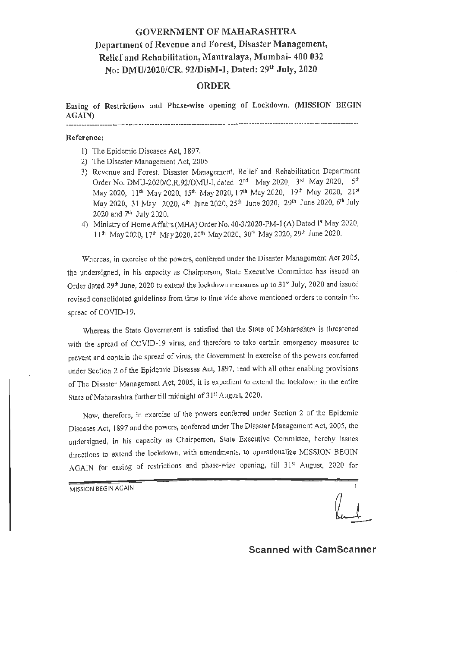# GOVERNMENT OF MAHARASHTRA Department of Revenue and Forest, Disaster Management, Relief and Rehabilitation, Mantralaya, Mumbai- 400 032 No: DMU/2020/CR. 92/DisM-1, Dated: 29th July, 2020

## ORDER

Easing of **Restrictions and Phase-wise opening of** Lockdown. **(MISSION BEGIN AGAIN)**  

#### **Reference:**

- I) The Epidemic Diseases Act, 1897.
- 2) The Disaster Management Act, 2005
- 3) Revenue and Forest. Disaster Management. Relief and Rehabilitation Department Order No. DMU-2020/C.R.92/DMU-I, dated 2<sup>nd</sup> May 2020, 3<sup>rd</sup> May 2020, 5<sup>th</sup> May 2020, 11<sup>th</sup> May 2020, 15<sup>th</sup> May 2020, 17<sup>th</sup> May 2020, 19<sup>th</sup> May 2020, 21<sup>st</sup> May 2020, 31 May 2020, 4<sup>th</sup> June 2020, 25<sup>th</sup> June 2020, 29<sup>th</sup> June 2020, 6<sup>th</sup> July 2020 and  $7<sup>th</sup>$  July 2020.
- 4) Ministry of Home Affairs (MHA) Order No. 40-3/2020-PM-1 (A) Dated 1<sup>st</sup> May 2020,  $11^{\text{th}}$  May 2020, 17<sup>th</sup> May 2020, 20<sup>th</sup> May 2020, 30<sup>th</sup> May 2020, 29<sup>th</sup> June 2020.

Whereas, in exercise of the powers, conferred under the Disaster Management Act 2005, the undersigned, in his capacity as Chairperson, State Executive Committee has issued an Order dated 29<sup>th</sup> June, 2020 to extend the lockdown measures up to 31<sup>st</sup> July, 2020 and issued revised consolidated guidelines from time to time vide above mentioned orders to contain the spread of COVID-19.

Whereas the State Government is satisfied that the State of Maharashtra is threatened with the spread of COVtD-19 virus, and therefore to take certain emergency measures to prevent and contain the spread of virus, the Government in exercise of the powers conferred under Section 2 of the Epidemic Diseases Act, 1897, read with all other enabling provisions of The Disaster Management Act, 2005, it is expedient to extend the lockdown in the entire State of Maharashtra further till midnight of 31st August, 2020.

Now, therefore, in exercise of the powers conferred under Section 2 of the Epidemic Diseases Act, 1897 and the powers, conferred under The Disaster Management Act, 2005, the undersigned, in his capacity as Chairperson, State Executive Committee, hereby issues directions to extend the Iockdown, with amendments, to operationalize MISSION BEGIN AGAIN for easing of restrictions and phase-wise opening, till 31<sup>st</sup> August, 2020 for

MISSION BEGIN AGAIN 1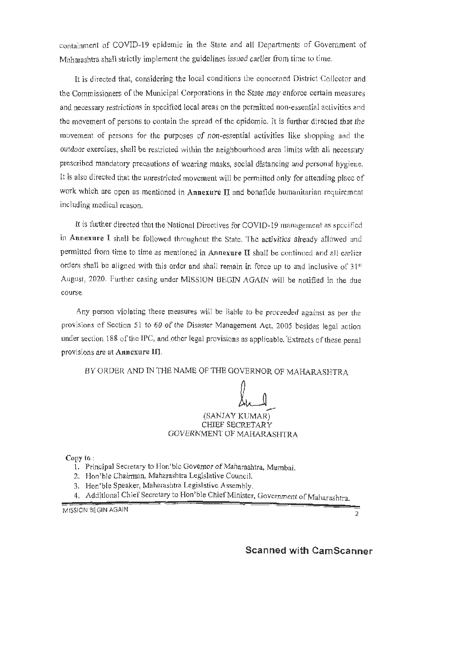containment of COVID-19 epidemic in the State and all Departments of Government of Maharashtra shall strictly implement the guidelines issued earlier from time to time.

[t is directed that, considering the local conditions the concerned District Collector and the Commissioners of the Municipal Corporations in the State may enforce certain measures and necessary restrictions in specified local areas on the permitted non-essential activities and the movement of persons to contain the spread of the epidemic. It is further directed that the movement of persons for the purposes of non-essential activities like shopping and the outdoor exercises, shall be restricted within the neighbourhood area limits with all necessary prescribed mandatory precautions of wearing masks, social distancing and personal hygiene. It is also directed that the unrestricted movement will be permitted only for attending place of work which are open as mentioned in **Annexure** II and bonafide humanitarian requirement including medical reason.

It is further directed that the National Directives for COVID-19 management as specified in **Annexure** I shall be followed throughout the State. The activities already allowed and permitted from time to time as mentioned in Annexure II shall be continued and all earlier orders shall be aligned with this order and shall remain in force up to and inclusive of 31<sup>st</sup> August, 2020. Further easing under MISSION BEGIN AGAIN will be notified in the due course.

Any person violating these measures will be liable to be proceeded against as per the provisions of Section 51 to 60 of the Disaster Management Act, 2005 besides legal action under section 188 of the IPC, and other legal provisions as applicable. 'Extracts of these penal provisions are at **Anncxure Ill.** 

BY ORDER AND IN THE NAME OF THE GOVERNOR OF MAHARASHTRA

## (SANJAY KUMAR) CHIEF SECRETARY GOVERNMENT OF MAHARASHTRA

Copy to :

- 1. Principal Secretary to Hon'ble Governor of Maharashtra, Mumbai.
- 2. Hon'ble Chairman, Maharashtra Legislative Council.
- 3. Hon'ble Speaker, Maharashtra Legislative Assembly.
- 4. Additional Chief Secretary to Hon'ble Chief Minister, Government of Maharashtra.

MISSION BEGIN AGAIN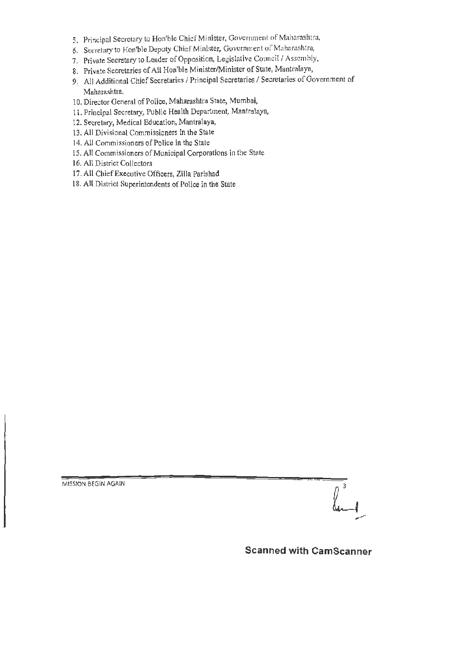- 5, Principal Secretary to Hon'ble Chief Minister, Government of Maharashtra,
- 6. Secretary to Hon'ble Deputy Chief Minister, Government of Maharashtra,
- 7. Private Secretary to Leader of Opposition, Legislative Council / Assembly,
- 8. Private Secretaries of All Hon'ble Minister/Minister of State, Mantralaya,
- 9, All Additional Chief Secretaries/ Principal Secretaries/ Secretaries of Government of Maharashtra.
- 10. Director General of Police, Maharashtra State, Mumbai,
- l l. Principal Secretary, Public Health Department, Mantralaya,
- 12. Secretary, Medical Education, Mantralaya,
- 13. All Divisional Commissioners in the State
- 14. All Commissioners of Police in the State
- 15. All Commissioners of Municipal Corporations in the State
- 16. All District Collectors
- 17. All Chief Executive Officers, Zilla Parishad
- 18. All District Superintendents of Police in the State

MISSION BEGIN AGAIN



**Scanned with CamScanner**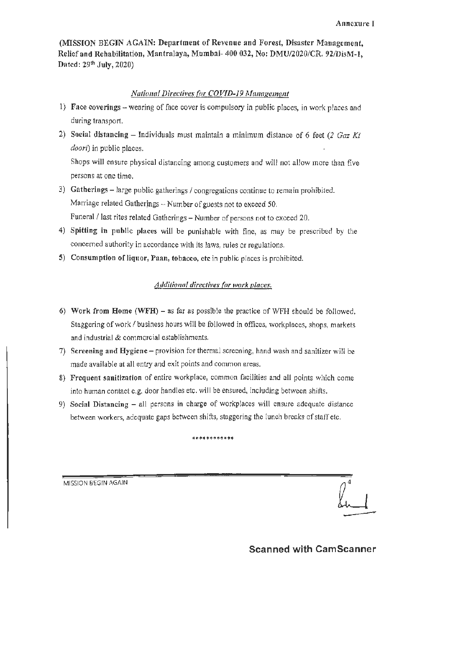(MISSION BEGIN AGAIN: Department of Revenue and Forest, Disaster Management, Relief and Rehabilitation, Mantralaya, Mumbai- 400 032, No: DMU/2020/CR. 92/DisM-l, Dated: 29<sup>th</sup> July, 2020)

#### *National Directives for COVID-19 Management*

- 1) Face coverings -wearing of face cover is compulsory in public places, in work places and during transport.
- 2) Social distancing Individuals must maintain a minimum distance of 6 feet *(2 Gaz Ki doori)* in public places.

Shops will ensure physical distancing among customers and will not allow more than five persons at one time.

- 3) **Gatherings**  large public gatherings/ congregations continue to remain prohibited. Marriage related Gatherjngs - Number of guests not to exceed *50.*  Funeral / last rites related Gatherings - Number of persons not to exceed 20.
- 4) Spitting in public places will be punishable with fine, as may be prescribed by the concerned authority in accordance with its laws, rules or regulations.
- 5) Consumption of liquor, Paan, tobacco, etc in public places is prohibited.

#### *Additional tlireclives for work places.*

- 6) Work from Home **(WFH)**  as far as possible the practice of WFH should be followed. Staggering of work/ business hours will be followed in offices, workplaces, shops, markets and industrial & commercial establishments.
- 7) Screening and Hygiene provision for thermal screening, hand wash and sanitizer will be made available at all entry and exit points and common areas.
- 8) Frequent sanitization of entire workplace, common facilities and all points which come into human contact e.g. door handles etc. will be ensured, including between shifts.
- 9) **Social Distancing**  all persons **in** charge of workplaces will ensure adequate distance between workers, adequate gaps between shifts, staggering the lunch breaks of staff etc.

\*\*\*\*\*\*\*\*\*\*\*\*

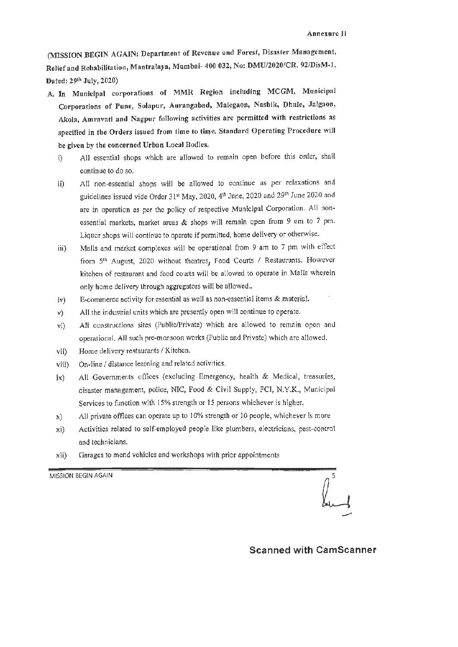(MISSlON BEGIN AGAIN: Department of Revenue and Forest, Disaster Management, Relief and Rehabilitation, Mantrafaya, Mumbai- 400 032, No: DMU/2020/CR. 92/DisM-l, Dated: 29<sup>th</sup> July, 2020)

- A. In Municipal corporations of MMR Region including MCGM, Municipal Corporations of Pune, Solapur, Aurangabad, Malegaon, Nashik, Dhule, Jalgaon, Akola, Amravati and Nagpur following activities are permitted with restrictions as specified in the Orders issued from time to time. Standard Operating Procedure will be given by the concerned Urban Local Bodies.
	- i) All essential shops which are allowed to remain open before this order, shall continue to do so.
	- ii) All non-essential shops will be allowed to continue as per relaxations and guidelines issued vide Order 31st May, 2020, 4th June, 2020 and 29th June 2020 and are in operation as per the policy of respective Municipal Corporation. All nonessential markets, market areas & shops will remain open from 9 am to 7 pm. Liquor shops will continue to operate if permitted, home delivery or otherwise.
	- iii) Malls and market complexes will be operational from 9 am to 7 pm with effect from  $5<sup>th</sup>$  August, 2020 without theatres, Food Courts / Restaurants. However kitchen of restaurnnt and food courts will be allowed to operate in Malls wherein only home delivery through aggregators will be allowed ..
	- iv) E-commerce activity for essential as well as non-essential items & material.
	- v) All the industrial units which are presently open will continue to operate.
	- vi) All constructions sites (Public/Private) which are allowed to remain open and operational. All such pre-monsoon works (Public and Private) which are allowed.
	- vii) Home delivery restaurants/ Kitchen.
	- viii) On-line/ distance learning and related activities.
	- ix) All Governments offices {excluding Emergency, health & Medical, treasuries, disaster management, police, NIC, Food & Civil Supply, FCI, N.Y.K., Municipal Services to function with 15% strength or 15 persons whichever is higher.
	- x) All private offices can operate up to 10% strength or 10 people, whichever is more
	- xi) Activities related to self-employed people like plumbers, electricians, pest-control and technicians.
	- xii) Garages to mend vehicles and workshops with prior appointments

MISSION BEGIN AGAIN

**Scanned with CamScanner**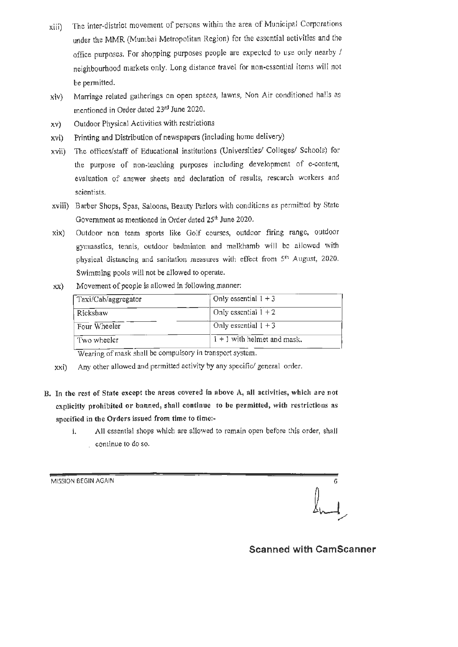- xiii) The inter-district movement of persons within the area of Municipal Corporations under the MMR (Mumbai Metropolitan Region) for the essential activities and the office purposes. For shopping purposes people are expected to use only nearby / neighbourhood markets only. Long distance travel for non-essential items will not be pennitted.
- xiv) Marriage related gatherings on open spaces, lawns, Non Air conditioned halls as mentioned in Order dated 23rd June 2020.
- xv) Outdoor Physical Activities with restrictions
- xvi) Printing and Distribution of newspapers (including home delivery)
- xvii) The offices/staff of Educational institutions (Universities/ Colleges/ Schools) for the purpose of non-teaching purposes including development of e-content, evaluation of answer sheets and declaration of results, research workers and scientists.
- xviii) Barber Shops, Spas, Saloons, Beauty Parlors with conditions as permitted by State Government as mentioned in Order dated 25<sup>th</sup> June 2020.
- xix) Outdoor non team sports like Golf courses, outdoor firing range, outdoor gymnastics, tennis, outdoor badminton and malkhamb will be allowed with physical distancing and sanitation measures with effect from 5<sup>th</sup> August, 2020. Swimming pools will not be allowed to operate.
- xx) Movement of people is allowed in following manner:

| Taxi/Cab/aggregator | Only essential $1 + 3$        |  |
|---------------------|-------------------------------|--|
| Rickshaw            | Only essential $1 + 2$        |  |
| Four Wheeler        | Only essential $1 + 3$        |  |
| Two wheeler         | $1 + 1$ with helmet and mask. |  |

Wearing of mask shull be compulsory in transport system.

- xxi) Any other allowed and permitted activity by any specific/ general order.
- B. In the rest of State except the areas covered in above A, all activities, which arc not explicitly prohibited or banned, shall continue to be permitted, with restrictions as specified in the Orders issued from time to timc:
	- i. All essential shops which are allowed to remain open before this order, shall continue to do so.

MISSION BEGIN AGAIN

 $\int_{\mathcal{F}}$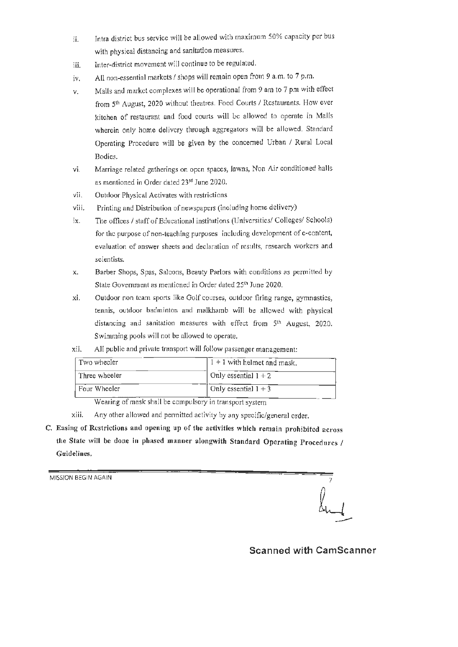- ii. Intra district bus service will be allowed with maximum 50% capacity per bus with physical distancing and sanitation measures.
- iii. Inter-district movement will continue to be regulated.
- iv. All non-essential markets/ shops will remain open from 9 a.m. to 7 p.m.
- v. Malls and market complexes will be operational from 9 am to 7 pm with effect from 5<sup>th</sup> August, 2020 without theatres. Food Courts / Restaurants. How ever kitchen of restaurant and food courts will be allowed to operate in Malls wherein only home delivery through aggregators will be allowed. Standard Operating Procedure will be given by the concerned Urban / Rural Local Bodies.
- vi. Marriage related gatherings on open spaces, lawns, Non Air conditioned halls as mentioned in Order dated 23rd June 2020.
- vii. Outdoor Physical Activates with restrictions
- viii. Printing and Distribution of newspapers (including home delivery)
- ix. The offices/ staff of Educational institutions (Universities/ Colleges/ Schools) for the purpose of non-teaching purposes including development of e-contcnt, evaluation of answer sheets and declaration of results, research workers and scientists.
- x. Barber Shops, Spas, Saloons, Beauty Parlors with conditions as permitted by State Government as mentioned in Order dated 25<sup>th</sup> June 2020.
- xi. Outdoor non team sports like Golf courses, outdoor firing range, gymnastics, tennis, outdoor badminton and malkhamb will be allowed with physical distancing and sanitation measures with effect from 5<sup>th</sup> August, 2020. Swimming pools will not be allowed to operate.
- xii. All public and private transport will follow passenger management:

| Two wheeler   | $1 + 1$ with helmet and mask. |
|---------------|-------------------------------|
| Three wheeler | Only essential $1 + 2$        |
| Four Wheeler  | Only essential $1 + 3$        |

Wearing of mask shall be compulsory in transport system

- xiii. Any other allowed and permitted activity by any specific/general order.
- C. Easing of Restrictions and opening up of tbe activities which remain prohibited across the State will be done in phased manner alongwith Standard Operating Procedures / Guidelines.

MISSION BEGIN AGAIN

**Scanned with CamScanner**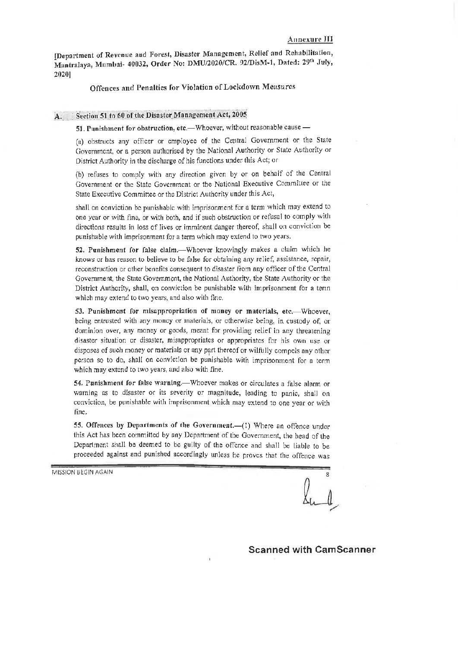!Department of Revenue and Forest, Disaster Management, Relief and Rehabilitation, Mantralaya, Mumbai- 40032, Order No: DMU/2020/CR. 92/DisM-1, Dated: 29th July, 2020)

#### Offences and Penalties for Violation of Lockdown Measures

### A. Section 51 to 60 of the Disaster Management Act, 2005

51. Punishment for obstruction, etc.-Whoever, without reasonable cause -

(a) obstructs any officer or employee of the Central Government or the State Government, or a person authorised by the National Authority or State Authority or District Authority in the discharge of his functions under this Act; or

(b) refuses to comply with any direction given by or on behalf of the Central Government or the State Government or the National Executive Committee or the State Executive Committee or the District Authority under this Act,

shall on conviction be punishable with imprisonment for a tenn which may extend to one year or with fine, or with both, and if such obstruction or refusal to comply with directions results in loss of lives or imminent danger thereof, shall on conviction be punishable with imprisonment for a term which may extend to two years,

52. Punishment for false claim.—Whoever knowingly makes a claim which he knows or has reason to believe to be false for obtaining any relief, assistance, repair, reconstruction or other benefits consequent to disaster from any officer of the Central Government, the State Government, the National Authority, the State Authority or the District Authority, shall, on conviction be punishable with imprisonment for a term which may extend to two years, and also with fine,

53. Punishment for misappropriation of money or materials, etc.--Whoever, being entrusted with any money or materials, or otherwise being, in custody of, or dominion over, any money or goods, meant for providing relief in any threatening disaster situation or disaster, misappropriates or appropriates for his own use or disposes of such money or materials or any part thereof or wilfully compels any other person so to do, shall on conviction be punishable with imprisonment for a term which may extend to two years, and also with fine.

54. Punishment for false warning.—Whoever makes or circulates a false alarm or warning as to disaster or its severity or magnitude, leading to panic, shall on conviction, be punishable with imprisonment which may extend to one year or with fine.

55. Offences by Departments of the Government.-(1) Where an offence under this Act has been committed by any Department of the Government, the head of the Department shall be deemed to be guilty of the offence and shall be liable to be proceeded against and punished accordingly unless he proves that the offence was

MISSION BEGIN AGAIN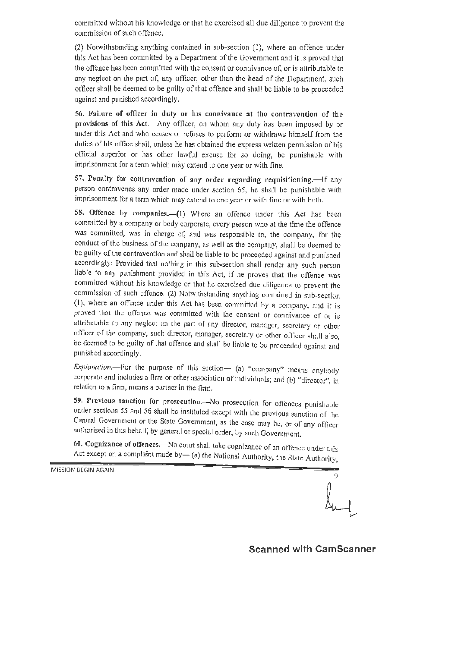committed without his knowledge or that he exercised all due diligence to prevent the commission of such offence.

(2) Notwithstanding anything contained in sub-section (I), where an offence under this Act has been committed by a Department of the Government and it is proved that the offence has been committed with the consent or connivance of, or is attributable to any neglect on the part of, any officer, other than the head of the Department, such officer shall be deemed to be guilty of that offence and shall be liable to be proceeded against and punished accordingly.

56. Failure of officer in duty or his connivance at the contravention of the provisions of **this** Act.-Any officer, on whom any duty has been imposed by or under this Act and who ceases or refuses to perform or withdraws himself from the duties of his office shall, unless he has obtained the express written permission of his official superior or has other lawfuJ excuse for *so* doing, be punishable with imprisonment for a term which may extend to one year or with fine.

57. Penalty for contravention of any order regarding requisitioning.-If any person contravenes any order made under section 65, he shall be punishable with imprisonment for a term which may extend to one year or with fine or with both.

58. Offence by companies.-(1) Where an offence under this Act has been committed by a company or body corporate, every person who at the time the offence was committed, was in charge of, and was responsible to, the company, for the conduct of the business of the company, as well as the company, shall be deemed to be guilty of the contravention and shall be liable to be proceeded against and punished accordingly: Provided that nothing in this sub-section shall render any such person liable to any punishment provided in this Act, if he proves that the offence was committed without his knowledge or that he exercised due diligence to prevent the commisslon of such offence. (2) Notwithstanding anything contained in sub-section (I), where an offence under this Act has been committed by a company, and it is proved that the offence was committed with the consent or connivance of or is attributable to any neglect on the part of any director, manager, secretary or other officer of the company, such director, manager, secretary or other officer shall also, be deemed to be guilty of that offence and shall be liable to be proceeded against and punished accordingly.

*Explanation.*---For the purpose of this section-- (a) "company" means anybody corporate and includes a firm or other association of individuals; and (b) "director", in relation to a firm, means a partner in the firm.

59. Previous sanction for prosecution.--No prosecution for offenees punishable under sections *55* and 56 shall be instituted except with the previous sanction of the Central Government or the State Government, as the case may be, or of any officer authorised in this behalf, by general or special order, by such Government.

60. Cognizance of offences.- No court shall take cognizance of an offence under this Act except on a complaint made by- (a) the National Authority, the State Authority,

MISSION BEGIN AGAIN

9

**Scanned with CamScanner**